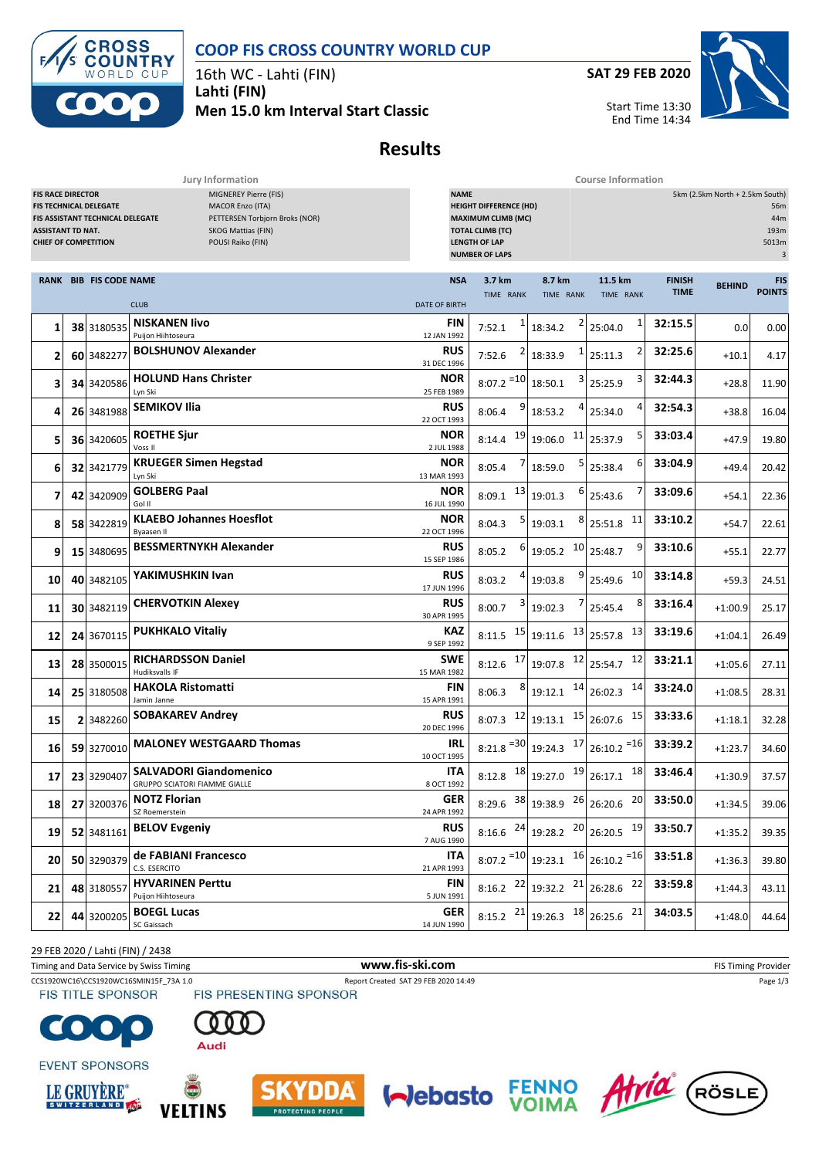



16th WC - Lahti (FIN) **Lahti (FIN) Men 15.0 km Interval Start Classic** **SAT 29 FEB 2020**



Start Time 13:30 End Time 14:34

**Results**

**Jury Information Course Information**

| <b>FIS RACE DIRECTOR</b><br><b>MIGNEREY Pierre (FIS)</b><br><b>FIS TECHNICAL DELEGATE</b><br><b>MACOR Enzo (ITA)</b><br>FIS ASSISTANT TECHNICAL DELEGATE<br>PETTERSEN Torbjorn Broks (NOR)<br>SKOG Mattias (FIN)<br><b>ASSISTANT TD NAT.</b><br><b>CHIEF OF COMPETITION</b><br>POUSI Raiko (FIN) |  |                               | <b>NAME</b>                                                           | <b>HEIGHT DIFFERENCE (HD)</b><br><b>MAXIMUM CLIMB (MC)</b><br><b>TOTAL CLIMB (TC)</b><br><b>LENGTH OF LAP</b><br><b>NUMBER OF LAPS</b> |                         | 5km (2.5km North + 2.5km South)<br>56m<br>44m<br>193m<br>5013m<br>$\mathbf{3}$ |                                                                      |                              |               |                      |
|--------------------------------------------------------------------------------------------------------------------------------------------------------------------------------------------------------------------------------------------------------------------------------------------------|--|-------------------------------|-----------------------------------------------------------------------|----------------------------------------------------------------------------------------------------------------------------------------|-------------------------|--------------------------------------------------------------------------------|----------------------------------------------------------------------|------------------------------|---------------|----------------------|
|                                                                                                                                                                                                                                                                                                  |  | <b>RANK BIB FIS CODE NAME</b> | <b>CLUB</b>                                                           | <b>NSA</b><br><b>DATE OF BIRTH</b>                                                                                                     | 3.7 km<br>TIME RANK     | 8.7 km<br>TIME RANK                                                            | 11.5 km<br>TIME RANK                                                 | <b>FINISH</b><br><b>TIME</b> | <b>BEHIND</b> | FIS<br><b>POINTS</b> |
| 1                                                                                                                                                                                                                                                                                                |  | 38 3180535                    | <b>NISKANEN livo</b><br>Puijon Hiihtoseura                            | FIN<br>12 JAN 1992                                                                                                                     | 7:52.1                  | 18:34.2                                                                        | 1<br>25:04.0                                                         | 32:15.5                      | 0.0           | 0.00                 |
| 2                                                                                                                                                                                                                                                                                                |  | 60 3482277                    | <b>BOLSHUNOV Alexander</b>                                            | RUS<br>31 DEC 1996                                                                                                                     | 7:52.6                  | 18:33.9                                                                        | 2<br>25:11.3                                                         | 32:25.6                      | $+10.1$       | 4.17                 |
| 3                                                                                                                                                                                                                                                                                                |  | 34 3420586                    | <b>HOLUND Hans Christer</b><br>Lyn Ski                                | <b>NOR</b><br>25 FEB 1989                                                                                                              | $8:07.2$ <sup>=10</sup> | 18:50.1                                                                        | 3<br>25:25.9                                                         | 32:44.3                      | $+28.8$       | 11.90                |
| 4                                                                                                                                                                                                                                                                                                |  | 26 3481988                    | <b>SEMIKOV Ilia</b>                                                   | <b>RUS</b><br>22 OCT 1993                                                                                                              | 9<br>8:06.4             | 18:53.2                                                                        | 4<br>25:34.0                                                         | 32:54.3                      | $+38.8$       | 16.04                |
| 5                                                                                                                                                                                                                                                                                                |  | 36 3420605                    | <b>ROETHE Sjur</b><br>Voss II                                         | NOR<br>2 JUL 1988                                                                                                                      | 19<br>8:14.4            | <b>11</b><br>19:06.0                                                           | 5<br>25:37.9                                                         | 33:03.4                      | $+47.9$       | 19.80                |
| 6                                                                                                                                                                                                                                                                                                |  | 32 3421779                    | <b>KRUEGER Simen Hegstad</b><br>Lyn Ski                               | NOR<br>13 MAR 1993                                                                                                                     | 8:05.4                  | 18:59.0                                                                        | 6<br>25:38.4                                                         | 33:04.9                      | $+49.4$       | 20.42                |
| 7                                                                                                                                                                                                                                                                                                |  | 42 3420909                    | <b>GOLBERG Paal</b><br>Gol II                                         | NOR<br>16 JUL 1990                                                                                                                     | 13<br>8:09.1            | 6<br>19:01.3                                                                   | 25:43.6                                                              | 33:09.6                      | $+54.1$       | 22.36                |
| 8                                                                                                                                                                                                                                                                                                |  | 58 3422819                    | <b>KLAEBO Johannes Hoesflot</b><br>Byaasen Il                         | <b>NOR</b><br>22 OCT 1996                                                                                                              | 8:04.3                  | 19:03.1                                                                        | 11<br>25:51.8                                                        | 33:10.2                      | $+54.7$       | 22.61                |
| 9                                                                                                                                                                                                                                                                                                |  | 15 3480695                    | <b>BESSMERTNYKH Alexander</b>                                         | <b>RUS</b><br>15 SEP 1986                                                                                                              | 6<br>8:05.2             | 10<br>19:05.2                                                                  | 9<br>25:48.7                                                         | 33:10.6                      | $+55.1$       | 22.77                |
| 10                                                                                                                                                                                                                                                                                               |  | 40 3482105                    | YAKIMUSHKIN Ivan                                                      | RUS<br>17 JUN 1996                                                                                                                     | 8:03.2                  | 19:03.8                                                                        | 10<br>25:49.6                                                        | 33:14.8                      | $+59.3$       | 24.51                |
| 11                                                                                                                                                                                                                                                                                               |  | 30 3482119                    | <b>CHERVOTKIN Alexey</b>                                              | RUS<br>30 APR 1995                                                                                                                     | 8:00.7                  | 19:02.3                                                                        | 8<br>25:45.4                                                         | 33:16.4                      | $+1:00.9$     | 25.17                |
| 12                                                                                                                                                                                                                                                                                               |  | 24 3670115                    | <b>PUKHKALO Vitaliy</b>                                               | KAZ<br>9 SEP 1992                                                                                                                      | 15<br>8:11.5            | 19:11.6                                                                        | 13<br>$13$ 25:57.8                                                   | 33:19.6                      | $+1:04.1$     | 26.49                |
| 13                                                                                                                                                                                                                                                                                               |  | 28 3500015                    | <b>RICHARDSSON Daniel</b><br>Hudiksvalls IF                           | <b>SWE</b><br>15 MAR 1982                                                                                                              | 17<br>8:12.6            | 19:07.8                                                                        | 12<br>$12$ 25:54.7                                                   | 33:21.1                      | $+1:05.6$     | 27.11                |
| 14                                                                                                                                                                                                                                                                                               |  | 25 3180508                    | <b>HAKOLA Ristomatti</b><br>Jamin Janne                               | FIN<br>15 APR 1991                                                                                                                     | 8:06.3                  | 14<br>19:12.1                                                                  | 14<br>26:02.3                                                        | 33:24.0                      | $+1:08.5$     | 28.31                |
| 15                                                                                                                                                                                                                                                                                               |  | 2 3482260                     | <b>SOBAKAREV Andrey</b>                                               | RUS<br>20 DEC 1996                                                                                                                     | 12<br>8:07.3            | 19:13.1                                                                        | 15<br>$15$ 26:07.6                                                   | 33:33.6                      | $+1:18.1$     | 32.28                |
| 16                                                                                                                                                                                                                                                                                               |  | 59 3270010                    | <b>MALONEY WESTGAARD Thomas</b>                                       | IRL<br>10 OCT 1995                                                                                                                     | $8:21.8$ <sup>=30</sup> | 19:24.3                                                                        | $17$ 26:10.2 = 16                                                    | 33:39.2                      | $+1:23.7$     | 34.60                |
| 17                                                                                                                                                                                                                                                                                               |  | 23 3290407                    | <b>SALVADORI Giandomenico</b><br><b>GRUPPO SCIATORI FIAMME GIALLE</b> | ITA<br>8 OCT 1992                                                                                                                      | 18<br>8:12.8            | 19:27.0                                                                        | 18<br>$19$ 26:17.1                                                   | 33:46.4                      | $+1:30.9$     | 37.57                |
| 18                                                                                                                                                                                                                                                                                               |  | 27 3200376                    | <b>NOTZ Florian</b><br>SZ Roemerstein                                 | <b>GER</b><br>24 APR 1992                                                                                                              |                         | 8:29.6 $38 \begin{array}{ c c c } 3.38 & 26 \\ 26 & 20.6 \end{array}$          | $20\,$                                                               | 33:50.0                      | $+1:34.5$     | 39.06                |
| 19                                                                                                                                                                                                                                                                                               |  | 52 3481161                    | <b>BELOV Evgeniy</b>                                                  | <b>RUS</b><br>7 AUG 1990                                                                                                               |                         |                                                                                | 8:16.6 $^{24}$ 19:28.2 $^{20}$ 26:20.5 $^{19}$                       | 33:50.7                      | $+1:35.2$     | 39.35                |
| 20                                                                                                                                                                                                                                                                                               |  | 50 3290379                    | de FABIANI Francesco<br>C.S. ESERCITO                                 | ITA.<br>21 APR 1993                                                                                                                    |                         |                                                                                | $8:07.2$ <sup>=10</sup> 19:23.1 <sup>16</sup> 26:10.2 <sup>=16</sup> | 33:51.8                      | $+1:36.3$     | 39.80                |
| 21                                                                                                                                                                                                                                                                                               |  | 48 3180557                    | <b>HYVARINEN Perttu</b><br>Puijon Hiihtoseura                         | <b>FIN</b><br>5 JUN 1991                                                                                                               |                         |                                                                                | 8:16.2 $22$ 19:32.2 $21$ 26:28.6 $22$                                | 33:59.8                      | $+1:44.3$     | 43.11                |
| 22                                                                                                                                                                                                                                                                                               |  | 44 3200205                    | <b>BOEGL Lucas</b><br>SC Gaissach                                     | GER<br>14 JUN 1990                                                                                                                     |                         |                                                                                | 8:15.2 $^{21}$ 19:26.3 $^{18}$ 26:25.6 $^{21}$                       | 34:03.5                      | $+1:48.0$     | 44.64                |

29 FEB 2020 / Lahti (FIN) / 2438

Timing and Data Service by Swiss Timing **WWW.fis-Ski.com WWW.fis-Ski.com** FIS Timing Provider

CCS1920WC16\CCS1920WC16SMIN15F\_73A 1.0 Report Created SAT 29 FEB 2020 14:49 Page 1/3<br>
FIS TITLE SPONSOR FIS PRESENTING SPONSOR

**FIS TITLE SPONSOR** 





**EVENT SPONSORS** 









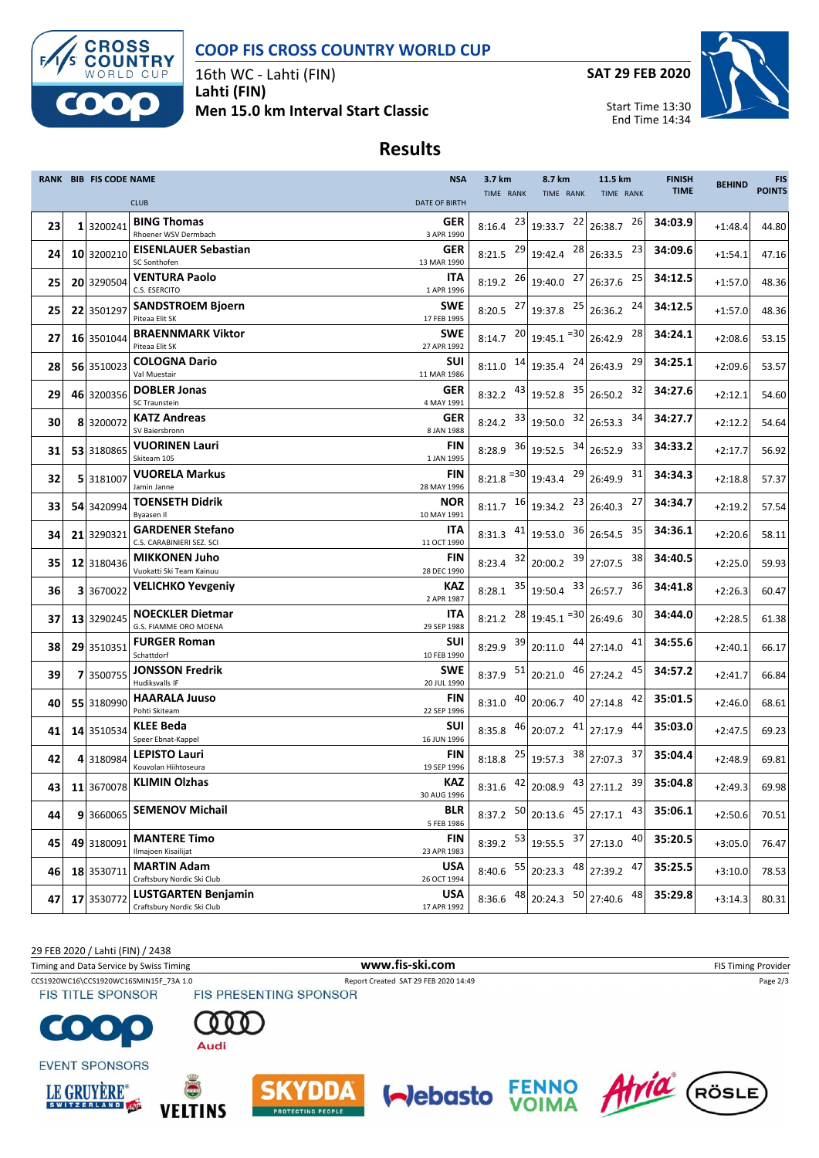



16th WC - Lahti (FIN) **Lahti (FIN) Men 15.0 km Interval Start Classic** **SAT 29 FEB 2020**



Start Time 13:30 End Time 14:34

## **Results**

|    | RANK BIB FIS CODE NAME |                                                          | <b>NSA</b>                | 3.7 km                          | 8.7 km                                  | 11.5 km                               | <b>FINISH</b> | <b>BEHIND</b> | <b>FIS</b>    |
|----|------------------------|----------------------------------------------------------|---------------------------|---------------------------------|-----------------------------------------|---------------------------------------|---------------|---------------|---------------|
|    |                        | <b>CLUB</b>                                              | <b>DATE OF BIRTH</b>      | TIME RANK                       | <b>TIME RANK</b>                        | TIME RANK                             | <b>TIME</b>   |               | <b>POINTS</b> |
| 23 | 3200241                | <b>BING Thomas</b><br>Rhoener WSV Dermbach               | <b>GER</b><br>3 APR 1990  | $8:16.4$ $23 \mid 19:33.7$      | 22                                      | 26<br>26:38.7                         | 34:03.9       | $+1:48.4$     | 44.80         |
| 24 | 10 3200210             | <b>EISENLAUER Sebastian</b><br>SC Sonthofen              | <b>GER</b><br>13 MAR 1990 | 8:21.5 $^{29}$ 19:42.4          | 28                                      | 23<br>26:33.5                         | 34:09.6       | $+1:54.1$     | 47.16         |
| 25 | 20 3290504             | <b>VENTURA Paolo</b><br>C.S. ESERCITO                    | ITA<br>1 APR 1996         | 8:19.2 $^{26}$ 19:40.0          | 27                                      | 25<br>26:37.6                         | 34:12.5       | $+1:57.0$     | 48.36         |
| 25 | 22 3501297             | <b>SANDSTROEM Bjoern</b>                                 | <b>SWE</b>                |                                 | 8:20.5 $^{27}$ 19:37.8 $^{25}$ 26:36.2  | 24                                    | 34:12.5       | $+1:57.0$     | 48.36         |
| 27 | 16 3501044             | Piteaa Elit SK<br><b>BRAENNMARK Viktor</b>               | 17 FEB 1995<br><b>SWE</b> |                                 | 8:14.7 $^{20}$ 19:45.1 $^{=30}$ 26:42.9 | 28                                    | 34:24.1       | $+2:08.6$     | 53.15         |
|    |                        | Piteaa Elit SK<br><b>COLOGNA Dario</b>                   | 27 APR 1992<br><b>SUI</b> |                                 |                                         | 29                                    | 34:25.1       |               |               |
| 28 | 56 3510023             | Val Muestair                                             | 11 MAR 1986               |                                 | 8:11.0 $14$ 19:35.4 $24$ 26:43.9        |                                       |               | $+2:09.6$     | 53.57         |
| 29 | 46 3200356             | <b>DOBLER Jonas</b><br>SC Traunstein                     | <b>GER</b><br>4 MAY 1991  | 8:32.2 $43$ 19:52.8             |                                         | 32<br>35 26:50.2                      | 34:27.6       | $+2:12.1$     | 54.60         |
| 30 | 8 3200072              | <b>KATZ Andreas</b><br>SV Baiersbronn                    | <b>GER</b><br>8 JAN 1988  | 8:24.2                          | 32<br>33 19:50.0                        | 34<br>26:53.3                         | 34:27.7       | $+2:12.2$     | 54.64         |
| 31 | 53 3180865             | <b>VUORINEN Lauri</b><br>Skiteam 105                     | FIN<br>1 JAN 1995         |                                 | 8:28.9 $36$ 19:52.5 $34$ 26:52.9        | 33                                    | 34:33.2       | $+2:17.7$     | 56.92         |
| 32 | 5 3181007              | <b>VUORELA Markus</b><br>Jamin Janne                     | FIN<br>28 MAY 1996        | $8:21.8$ <sup>=30</sup> 19:43.4 | 29                                      | 31<br>26:49.9                         | 34:34.3       | $+2:18.8$     | 57.37         |
| 33 | 54 3420994             | <b>TOENSETH Didrik</b><br>Byaasen II                     | <b>NOR</b><br>10 MAY 1991 | $8:11.7$ $16$ 19:34.2           | 23                                      | 27<br>26:40.3                         | 34:34.7       | $+2:19.2$     | 57.54         |
| 34 | 21 3290321             | <b>GARDENER Stefano</b>                                  | ITA                       |                                 | 8:31.3 $41$ 19:53.0 36                  | 35<br>26:54.5                         | 34:36.1       | $+2:20.6$     | 58.11         |
| 35 | 12 3180436             | C.S. CARABINIERI SEZ. SCI<br><b>MIKKONEN Juho</b>        | 11 OCT 1990<br>FIN        | 8:23.4                          | $32$ 20:00.2                            | 39 27:07.5<br>38                      | 34:40.5       | $+2:25.0$     | 59.93         |
| 36 | 3 3670022              | Vuokatti Ski Team Kainuu<br>VELICHKO Yevgeniy            | 28 DEC 1990<br>KAZ        | 8:28.1                          | $35$ 19:50.4 $33$ 26:57.7               | 36                                    | 34:41.8       | $+2:26.3$     | 60.47         |
| 37 | 13 3290245             | <b>NOECKLER Dietmar</b>                                  | 2 APR 1987<br><b>ITA</b>  |                                 | 8:21.2 $^{28}$ 19:45.1 $^{=30}$ 26:49.6 | 30                                    | 34:44.0       | $+2:28.5$     | 61.38         |
|    |                        | G.S. FIAMME ORO MOENA                                    | 29 SEP 1988               |                                 |                                         |                                       |               |               |               |
| 38 | 29 3510351             | <b>FURGER Roman</b><br>Schattdorf                        | <b>SUI</b><br>10 FEB 1990 | 8:29.9 39                       | 20:11.0 44 27:14.0                      | 41                                    | 34:55.6       | $+2:40.1$     | 66.17         |
| 39 | 7 3500755              | <b>JONSSON Fredrik</b><br>Hudiksvalls IF                 | <b>SWE</b><br>20 JUL 1990 | 8:37.9 51                       | 20:21.0 46                              | 45<br>27:24.2                         | 34:57.2       | $+2:41.7$     | 66.84         |
| 40 | 55 3180990             | <b>HAARALA Juuso</b><br>Pohti Skiteam                    | FIN<br>22 SEP 1996        | 8:31.0                          | 40 20:06.7                              | $40$ 27:14.8<br>42                    | 35:01.5       | $+2:46.0$     | 68.61         |
| 41 | 14 3510534             | <b>KLEE Beda</b><br>Speer Ebnat-Kappel                   | SUI<br>16 JUN 1996        | $8:35.8$ $46$ 20:07.2           |                                         | 44<br>$41$ 27:17.9                    | 35:03.0       | $+2:47.5$     | 69.23         |
| 42 | 4 3180984              | <b>LEPISTO Lauri</b><br>Kouvolan Hiihtoseura             | FIN<br>19 SEP 1996        | 8:18.8 $^{25}$ 19:57.3          |                                         | 38 27:07.3<br>37                      | 35:04.4       | $+2:48.9$     | 69.81         |
| 43 |                        | 11 3670078 KLIMIN Olzhas                                 | KAZ<br>30 AUG 1996        |                                 |                                         | 8:31.6 $42$ 20:08.9 $43$ 27:11.2 $39$ | 35:04.8       | $+2:49.3$     | 69.98         |
| 44 | 9 3660065              | <b>SEMENOV Michail</b>                                   | BLR<br>5 FEB 1986         | 8:37.2 50                       | 20:13.6                                 | $45$ 27:17.1<br>43                    | 35:06.1       | $+2:50.6$     | 70.51         |
| 45 | 49 3180091             | <b>MANTERE Timo</b>                                      | FIN                       | 8:39.2 $53$ 19:55.5             | 37                                      | 40<br>27:13.0                         | 35:20.5       | $+3:05.0$     | 76.47         |
| 46 | 18 3530711             | Ilmajoen Kisailijat<br><b>MARTIN Adam</b>                | 23 APR 1983<br><b>USA</b> | $8:40.6$ $55$ 20:23.3           |                                         | 48 27:39.2<br>47                      | 35:25.5       | $+3:10.0$     | 78.53         |
| 47 | 17 3530772             | Craftsbury Nordic Ski Club<br><b>LUSTGARTEN Benjamin</b> | 26 OCT 1994<br><b>USA</b> | 48<br>8:36.6                    | 50<br>20:24.3                           | 48<br>27:40.6                         | 35:29.8       | $+3:14.3$     | 80.31         |
|    |                        | Craftsbury Nordic Ski Club                               | 17 APR 1992               |                                 |                                         |                                       |               |               |               |

29 FEB 2020 / Lahti (FIN) / 2438

Timing and Data Service by Swiss Timing **WWW.fis-Ski.com WWW.fis-Ski.com** FIS Timing Provider

CCS1920WC16\CCS1920WC16SMIN15F\_73A 1.0 Report Created SAT 29 FEB 2020 14:49 Page 2/3<br>
FIS TITLE SPONSOR FIS PRESENTING SPONSOR



Audi